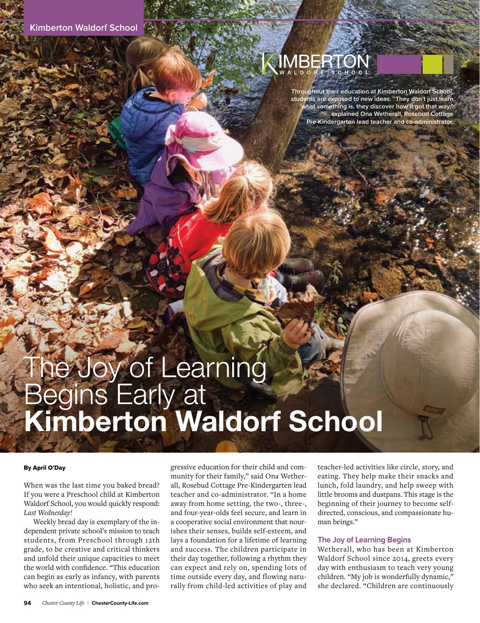

**Throughout their education at Kimberton Waldorf School, students are exposed to new ideas. "They don't just learn what something is, they discover how it got that way," explained Ona Wetherall, Rosebud Cottage Pre-Kindergarten lead teacher and co-administrator.**

# The Joy of Learning Begins Early at Kimberton Waldorf School

#### By April O'Day

When was the last time you baked bread? If you were a Preschool child at Kimberton Waldorf School, you would quickly respond: *Last Wednesday!*

Weekly bread day is exemplary of the independent private school's mission to teach students, from Preschool through 12th grade, to be creative and critical thinkers and unfold their unique capacities to meet the world with confidence. "This education can begin as early as infancy, with parents who seek an intentional, holistic, and progressive education for their child and community for their family," said Ona Wetherall, Rosebud Cottage Pre-Kindergarten lead teacher and co-administrator. "In a home away from home setting, the two-, three-, and four-year-olds feel secure, and learn in a cooperative social environment that nourishes their senses, builds self-esteem, and lays a foundation for a lifetime of learning and success. The children participate in their day together, following a rhythm they can expect and rely on, spending lots of time outside every day, and flowing naturally from child-led activities of play and

teacher-led activities like circle, story, and eating. They help make their snacks and lunch, fold laundry, and help sweep with little brooms and dustpans. This stage is the beginning of their journey to become selfdirected, conscious, and compassionate human beings."

#### **The Joy of Learning Begins**

Wetherall, who has been at Kimberton Waldorf School since 2014, greets every day with enthusiasm to teach very young children. "My job is wonderfully dynamic," she declared. "Children are continuously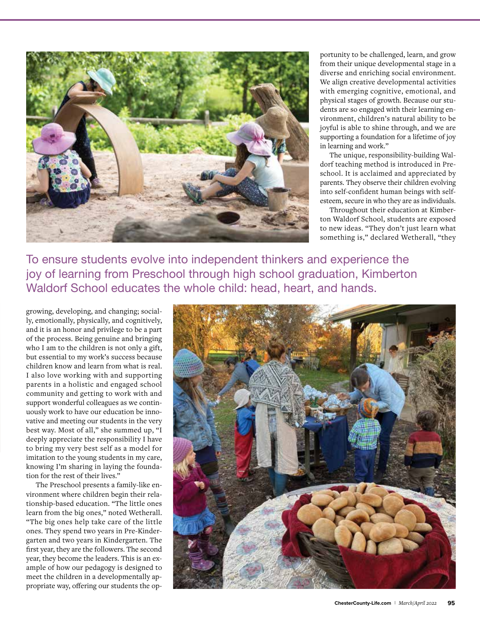

portunity to be challenged, learn, and grow from their unique developmental stage in a diverse and enriching social environment. We align creative developmental activities with emerging cognitive, emotional, and physical stages of growth. Because our students are so engaged with their learning environment, children's natural ability to be joyful is able to shine through, and we are supporting a foundation for a lifetime of joy in learning and work."

The unique, responsibility-building Waldorf teaching method is introduced in Preschool. It is acclaimed and appreciated by parents. They observe their children evolving into self-confident human beings with selfesteem, secure in who they are as individuals.

Throughout their education at Kimberton Waldorf School, students are exposed to new ideas. "They don't just learn what something is," declared Wetherall, "they

To ensure students evolve into independent thinkers and experience the joy of learning from Preschool through high school graduation, Kimberton Waldorf School educates the whole child: head, heart, and hands.

growing, developing, and changing; socially, emotionally, physically, and cognitively, and it is an honor and privilege to be a part of the process. Being genuine and bringing who I am to the children is not only a gift, but essential to my work's success because children know and learn from what is real. I also love working with and supporting parents in a holistic and engaged school community and getting to work with and support wonderful colleagues as we continuously work to have our education be innovative and meeting our students in the very best way. Most of all," she summed up, "I deeply appreciate the responsibility I have to bring my very best self as a model for imitation to the young students in my care, knowing I'm sharing in laying the foundation for the rest of their lives."

The Preschool presents a family-like environment where children begin their relationship-based education. "The little ones learn from the big ones," noted Wetherall. "The big ones help take care of the little ones. They spend two years in Pre-Kindergarten and two years in Kindergarten. The first year, they are the followers. The second year, they become the leaders. This is an example of how our pedagogy is designed to meet the children in a developmentally appropriate way, offering our students the op-

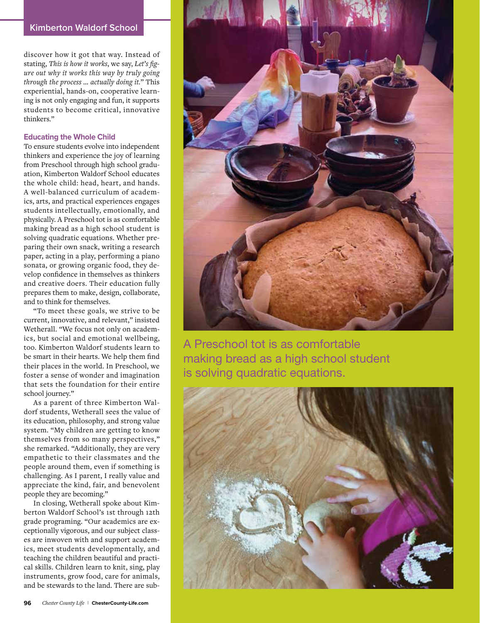## **Kimberton Waldorf School**

discover how it got that way. Instead of stating, *This is how it works*, we say, *Let's figure out why it works this way by truly going through the process … actually doing it.*" This experiential, hands-on, cooperative learning is not only engaging and fun, it supports students to become critical, innovative thinkers."

### **Educating the Whole Child**

To ensure students evolve into independent thinkers and experience the joy of learning from Preschool through high school graduation, Kimberton Waldorf School educates the whole child: head, heart, and hands. A well-balanced curriculum of academics, arts, and practical experiences engages students intellectually, emotionally, and physically. A Preschool tot is as comfortable making bread as a high school student is solving quadratic equations. Whether preparing their own snack, writing a research paper, acting in a play, performing a piano sonata, or growing organic food, they develop confidence in themselves as thinkers and creative doers. Their education fully prepares them to make, design, collaborate, and to think for themselves.

"To meet these goals, we strive to be current, innovative, and relevant," insisted Wetherall. "We focus not only on academics, but social and emotional wellbeing, too. Kimberton Waldorf students learn to be smart in their hearts. We help them find their places in the world. In Preschool, we foster a sense of wonder and imagination that sets the foundation for their entire school journey."

As a parent of three Kimberton Waldorf students, Wetherall sees the value of its education, philosophy, and strong value system. "My children are getting to know themselves from so many perspectives," she remarked. "Additionally, they are very empathetic to their classmates and the people around them, even if something is challenging. As I parent, I really value and appreciate the kind, fair, and benevolent people they are becoming."

In closing, Wetherall spoke about Kimberton Waldorf School's 1st through 12th grade programing. "Our academics are exceptionally vigorous, and our subject classes are inwoven with and support academics, meet students developmentally, and teaching the children beautiful and practical skills. Children learn to knit, sing, play instruments, grow food, care for animals, and be stewards to the land. There are sub-



A Preschool tot is as comfortable making bread as a high school student is solving quadratic equations.